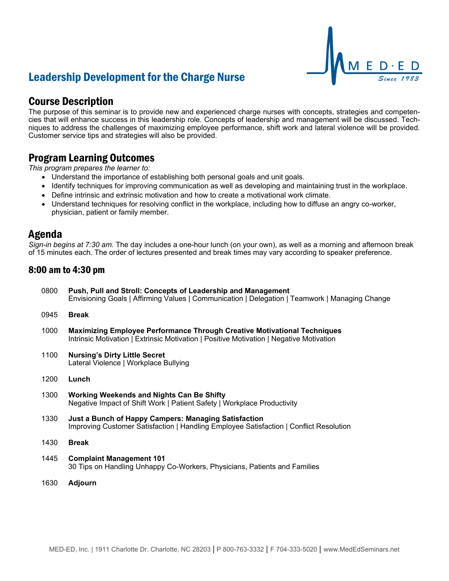# Leadership Development for the Charge Nurse

### Course Description

The purpose of this seminar is to provide new and experienced charge nurses with concepts, strategies and competencies that will enhance success in this leadership role. Concepts of leadership and management will be discussed. Techniques to address the challenges of maximizing employee performance, shift work and lateral violence will be provided. Customer service tips and strategies will also be provided.

### Program Learning Outcomes

*This program prepares the learner to:*

- Understand the importance of establishing both personal goals and unit goals.
- Identify techniques for improving communication as well as developing and maintaining trust in the workplace.
- Define intrinsic and extrinsic motivation and how to create a motivational work climate.
- Understand techniques for resolving conflict in the workplace, including how to diffuse an angry co-worker, physician, patient or family member.

### Agenda

*Sign-in begins at 7:30 am.* The day includes a one-hour lunch (on your own), as well as a morning and afternoon break of 15 minutes each. The order of lectures presented and break times may vary according to speaker preference.

#### 8:00 am to 4:30 pm

| 0800 | Push, Pull and Stroll: Concepts of Leadership and Management<br>Envisioning Goals   Affirming Values   Communication   Delegation   Teamwork   Managing Change             |
|------|----------------------------------------------------------------------------------------------------------------------------------------------------------------------------|
| 0945 | <b>Break</b>                                                                                                                                                               |
| 1000 | <b>Maximizing Employee Performance Through Creative Motivational Techniques</b><br>Intrinsic Motivation   Extrinsic Motivation   Positive Motivation   Negative Motivation |
| 1100 | <b>Nursing's Dirty Little Secret</b><br>Lateral Violence   Workplace Bullying                                                                                              |
| 1200 | Lunch                                                                                                                                                                      |
| 1300 | Working Weekends and Nights Can Be Shifty<br>Negative Impact of Shift Work   Patient Safety   Workplace Productivity                                                       |
| 1330 | <b>Just a Bunch of Happy Campers: Managing Satisfaction</b><br>Improving Customer Satisfaction   Handling Employee Satisfaction   Conflict Resolution                      |

- 1430 **Break**
- 1445 **Complaint Management 101** 30 Tips on Handling Unhappy Co-Workers, Physicians, Patients and Families
- 1630 **Adjourn**